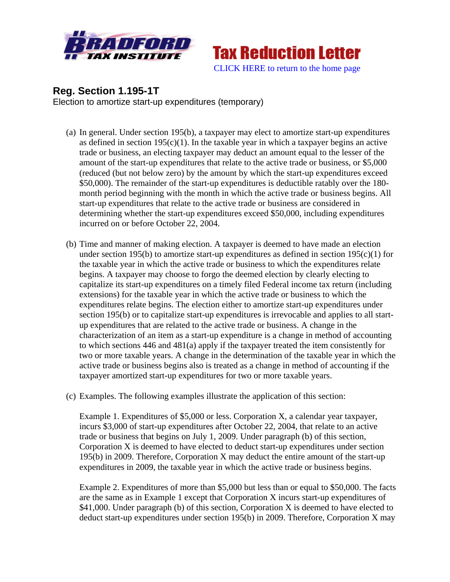



## **Reg. Section 1.195-1T**

Election to amortize start-up expenditures (temporary)

- (a) In general. Under section 195(b), a taxpayer may elect to amortize start-up expenditures as defined in section  $195(c)(1)$ . In the taxable year in which a taxpayer begins an active trade or business, an electing taxpayer may deduct an amount equal to the lesser of the amount of the start-up expenditures that relate to the active trade or business, or \$5,000 (reduced (but not below zero) by the amount by which the start-up expenditures exceed \$50,000). The remainder of the start-up expenditures is deductible ratably over the 180 month period beginning with the month in which the active trade or business begins. All start-up expenditures that relate to the active trade or business are considered in determining whether the start-up expenditures exceed \$50,000, including expenditures incurred on or before October 22, 2004.
- (b) Time and manner of making election. A taxpayer is deemed to have made an election under section 195(b) to amortize start-up expenditures as defined in section  $195(c)(1)$  for the taxable year in which the active trade or business to which the expenditures relate begins. A taxpayer may choose to forgo the deemed election by clearly electing to capitalize its start-up expenditures on a timely filed Federal income tax return (including extensions) for the taxable year in which the active trade or business to which the expenditures relate begins. The election either to amortize start-up expenditures under section 195(b) or to capitalize start-up expenditures is irrevocable and applies to all startup expenditures that are related to the active trade or business. A change in the characterization of an item as a start-up expenditure is a change in method of accounting to which sections 446 and 481(a) apply if the taxpayer treated the item consistently for two or more taxable years. A change in the determination of the taxable year in which the active trade or business begins also is treated as a change in method of accounting if the taxpayer amortized start-up expenditures for two or more taxable years.
- (c) Examples. The following examples illustrate the application of this section:

Example 1. Expenditures of \$5,000 or less. Corporation X, a calendar year taxpayer, incurs \$3,000 of start-up expenditures after October 22, 2004, that relate to an active trade or business that begins on July 1, 2009. Under paragraph (b) of this section, Corporation X is deemed to have elected to deduct start-up expenditures under section 195(b) in 2009. Therefore, Corporation X may deduct the entire amount of the start-up expenditures in 2009, the taxable year in which the active trade or business begins.

Example 2. Expenditures of more than \$5,000 but less than or equal to \$50,000. The facts are the same as in Example 1 except that Corporation X incurs start-up expenditures of \$41,000. Under paragraph (b) of this section, Corporation X is deemed to have elected to deduct start-up expenditures under section 195(b) in 2009. Therefore, Corporation X may